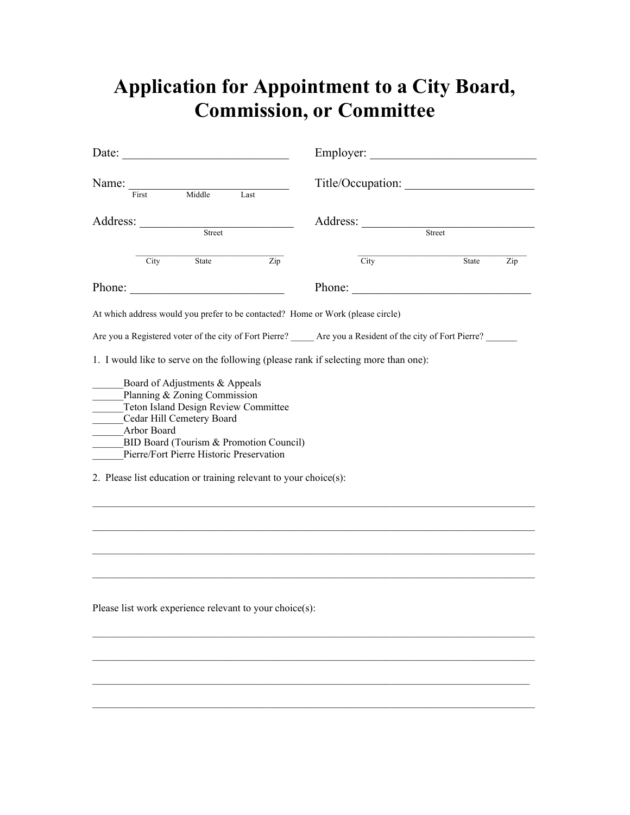## **Application for Appointment to a City Board, Commission, or Committee**

| Date:    |             |                                                                                             |                                                                                                                                                                                                 | Employer: |                        |                                                                                                             |                  |
|----------|-------------|---------------------------------------------------------------------------------------------|-------------------------------------------------------------------------------------------------------------------------------------------------------------------------------------------------|-----------|------------------------|-------------------------------------------------------------------------------------------------------------|------------------|
| Name:    | First       | Middle                                                                                      | Last                                                                                                                                                                                            |           |                        |                                                                                                             |                  |
| Address: |             | Street                                                                                      |                                                                                                                                                                                                 |           | Address: <u>Street</u> |                                                                                                             |                  |
|          | City        | State                                                                                       | $\overline{\mathrm{Zip}}$                                                                                                                                                                       |           | City                   | State                                                                                                       | $\overline{Zip}$ |
|          |             |                                                                                             | Phone:                                                                                                                                                                                          |           |                        | Phone:                                                                                                      |                  |
|          |             |                                                                                             | At which address would you prefer to be contacted? Home or Work (please circle)                                                                                                                 |           |                        |                                                                                                             |                  |
|          |             |                                                                                             |                                                                                                                                                                                                 |           |                        | Are you a Registered voter of the city of Fort Pierre? _____ Are you a Resident of the city of Fort Pierre? |                  |
|          | Arbor Board | Board of Adjustments & Appeals<br>Planning & Zoning Commission<br>Cedar Hill Cemetery Board | Teton Island Design Review Committee<br>BID Board (Tourism & Promotion Council)<br>Pierre/Fort Pierre Historic Preservation<br>2. Please list education or training relevant to your choice(s): |           |                        |                                                                                                             |                  |
|          |             |                                                                                             |                                                                                                                                                                                                 |           |                        |                                                                                                             |                  |
|          |             |                                                                                             |                                                                                                                                                                                                 |           |                        |                                                                                                             |                  |
|          |             |                                                                                             |                                                                                                                                                                                                 |           |                        |                                                                                                             |                  |
|          |             |                                                                                             | Please list work experience relevant to your choice(s):                                                                                                                                         |           |                        |                                                                                                             |                  |

\_\_\_\_\_\_\_\_\_\_\_\_\_\_\_\_\_\_\_\_\_\_\_\_\_\_\_\_\_\_\_\_\_\_\_\_\_\_\_\_\_\_\_\_\_\_\_\_\_\_\_\_\_\_\_\_\_\_\_\_\_\_\_\_\_\_\_\_\_\_\_\_\_\_\_\_\_\_\_\_\_\_\_\_\_\_

\_\_\_\_\_\_\_\_\_\_\_\_\_\_\_\_\_\_\_\_\_\_\_\_\_\_\_\_\_\_\_\_\_\_\_\_\_\_\_\_\_\_\_\_\_\_\_\_\_\_\_\_\_\_\_\_\_\_\_\_\_\_\_\_\_\_\_\_\_\_\_\_\_\_\_\_\_\_\_\_\_\_\_\_\_\_

 $\mathcal{L}_\mathcal{L} = \{ \mathcal{L}_\mathcal{L} = \{ \mathcal{L}_\mathcal{L} = \{ \mathcal{L}_\mathcal{L} = \{ \mathcal{L}_\mathcal{L} = \{ \mathcal{L}_\mathcal{L} = \{ \mathcal{L}_\mathcal{L} = \{ \mathcal{L}_\mathcal{L} = \{ \mathcal{L}_\mathcal{L} = \{ \mathcal{L}_\mathcal{L} = \{ \mathcal{L}_\mathcal{L} = \{ \mathcal{L}_\mathcal{L} = \{ \mathcal{L}_\mathcal{L} = \{ \mathcal{L}_\mathcal{L} = \{ \mathcal{L}_\mathcal{$ 

\_\_\_\_\_\_\_\_\_\_\_\_\_\_\_\_\_\_\_\_\_\_\_\_\_\_\_\_\_\_\_\_\_\_\_\_\_\_\_\_\_\_\_\_\_\_\_\_\_\_\_\_\_\_\_\_\_\_\_\_\_\_\_\_\_\_\_\_\_\_\_\_\_\_\_\_\_\_\_\_\_\_\_\_\_\_